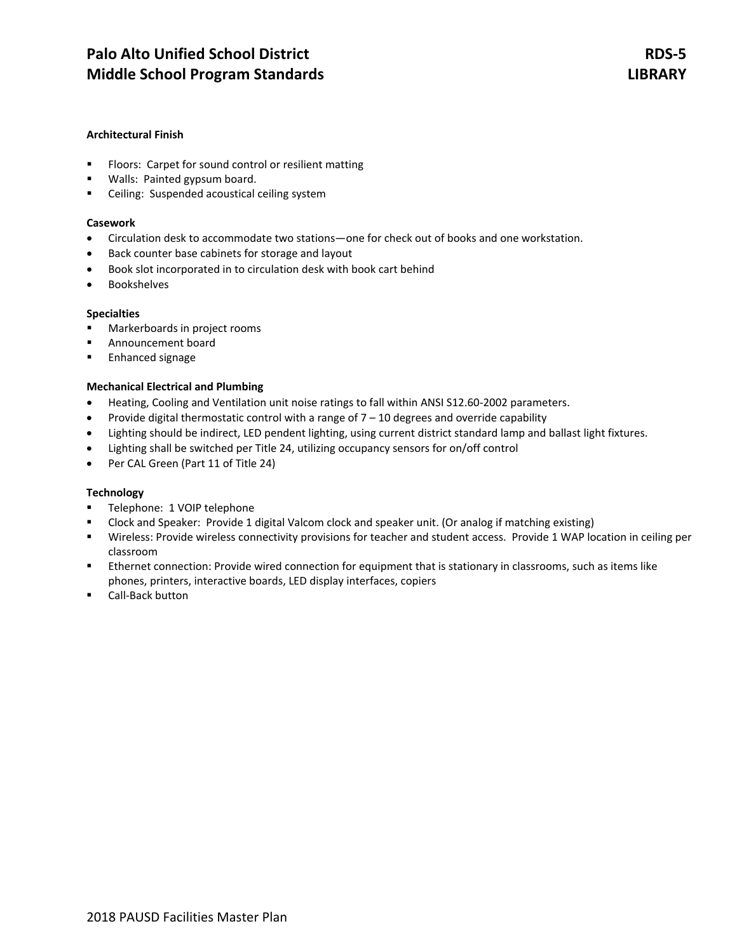# **Architectural Finish**

- **FIOOTS: Carpet for sound control or resilient matting**
- Walls: Painted gypsum board.
- **EXEC** Ceiling: Suspended acoustical ceiling system

### **Casework**

- Circulation desk to accommodate two stations—one for check out of books and one workstation.
- Back counter base cabinets for storage and layout
- Book slot incorporated in to circulation desk with book cart behind
- Bookshelves

## **Specialties**

- **Markerboards in project rooms**
- Announcement board
- **Enhanced signage**

# **Mechanical Electrical and Plumbing**

- Heating, Cooling and Ventilation unit noise ratings to fall within ANSI S12.60-2002 parameters.
- Provide digital thermostatic control with a range of  $7 10$  degrees and override capability
- Lighting should be indirect, LED pendent lighting, using current district standard lamp and ballast light fixtures.
- Lighting shall be switched per Title 24, utilizing occupancy sensors for on/off control
- Per CAL Green (Part 11 of Title 24)

## **Technology**

- **Telephone: 1 VOIP telephone**
- Clock and Speaker: Provide 1 digital Valcom clock and speaker unit. (Or analog if matching existing)
- Wireless: Provide wireless connectivity provisions for teacher and student access. Provide 1 WAP location in ceiling per classroom
- Ethernet connection: Provide wired connection for equipment that is stationary in classrooms, such as items like phones, printers, interactive boards, LED display interfaces, copiers
- Call-Back button